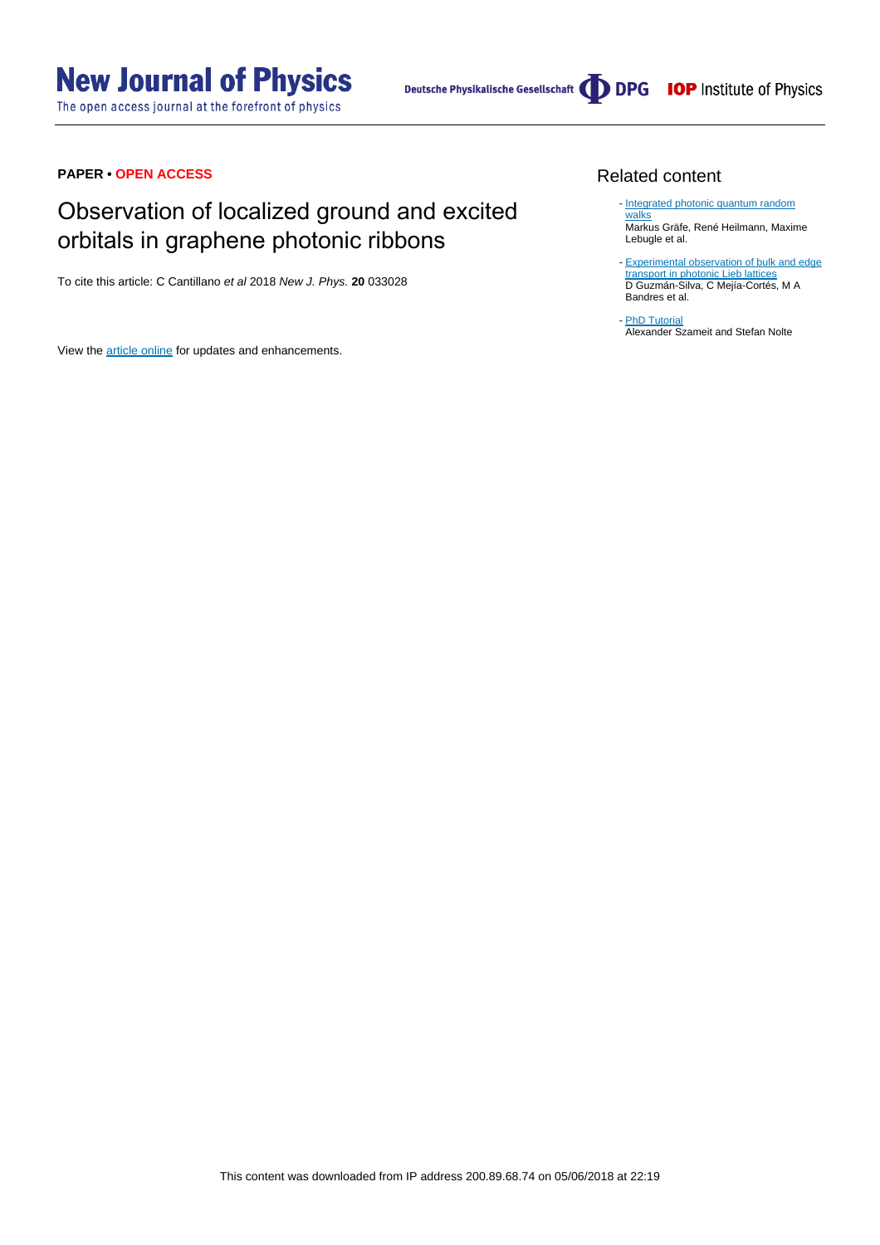# **New Journal of Physics**

The open access journal at the forefront of physics



# **PAPER • OPEN ACCESS**

# Observation of localized ground and excited orbitals in graphene photonic ribbons

To cite this article: C Cantillano et al 2018 New J. Phys. **20** 033028

View the [article online](https://doi.org/10.1088/1367-2630/aab483) for updates and enhancements.

# Related content

- [Integrated photonic quantum random](http://iopscience.iop.org/article/10.1088/2040-8978/18/10/103002) [walks](http://iopscience.iop.org/article/10.1088/2040-8978/18/10/103002) Markus Gräfe, René Heilmann, Maxime Lebugle et al.
- [Experimental observation of bulk and edge](http://iopscience.iop.org/article/10.1088/1367-2630/16/6/063061) [transport in photonic Lieb lattices](http://iopscience.iop.org/article/10.1088/1367-2630/16/6/063061) D Guzmán-Silva, C Mejía-Cortés, M A Bandres et al. -

- [PhD Tutorial](http://iopscience.iop.org/article/10.1088/0953-4075/43/16/163001) **Alexander Szameit and Stefan Nolte**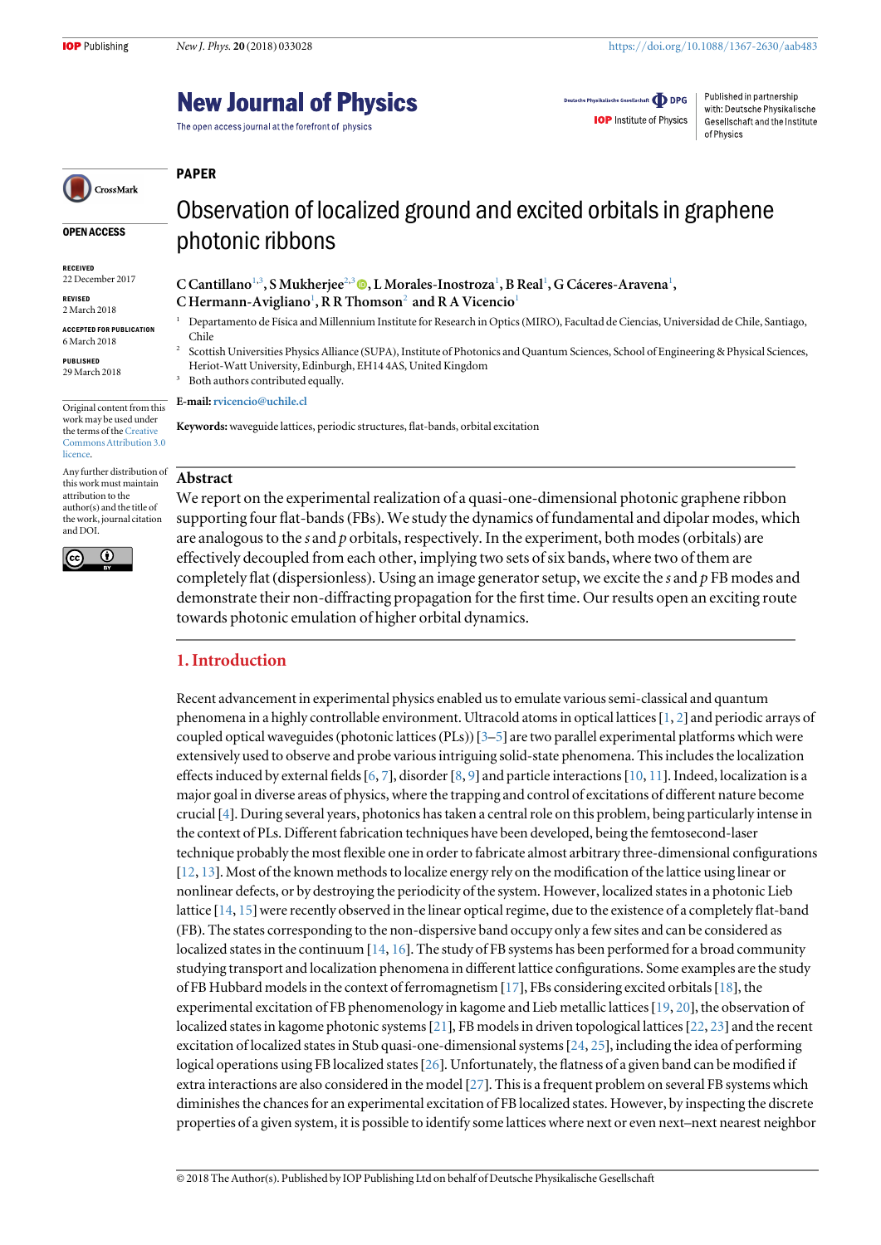# **New Journal of Physics**

The open access journal at the forefront of physics

Deutsche Physikalische Gesellschaft **ODPG** 

**IOP** Institute of Physics

Published in partnership with: Deutsche Physikalische Gesellschaft and the Institute of Physics

#### PAPER

OPEN ACCESS

CrossMark

RECEIVED 22 December 2017

REVISED 2 March 2018

ACCEPTED FOR PUBLICATION 6 March 2018

PUBLISHED 29 March 2018

Original content from this work may be used under the terms of the [Creative](http://creativecommons.org/licenses/by/3.0) [Commons Attribution 3.0](http://creativecommons.org/licenses/by/3.0) **licence** 

Any further distribution of this work must maintain attribution to the author(s) and the title of the work, journal citation and DOI.



Observation of localized ground and excited orbitals in graphene photonic ribbons

C Cantillano<sup>1[,](https://orcid.org/0000-0003-1942-2521)3</sup>, S Mukherjee<sup>2,3</sup> (D, L Morales-Inostroza<sup>1</sup>, B Real<sup>1</sup>, G Cáceres-Aravena<sup>1</sup>, C Hermann-Avigliano<sup>1</sup>, R R Thomson<sup>2</sup> and R A Vicencio<sup>1</sup>

- <sup>1</sup> Departamento de Física and Millennium Institute for Research in Optics(MIRO), Facultad de Ciencias, Universidad de Chile, Santiago, Chile
- <sup>2</sup> Scottish Universities Physics Alliance (SUPA), Institute of Photonics and Quantum Sciences, School of Engineering & Physical Sciences, Heriot-Watt University, Edinburgh, EH14 4AS, United Kingdom

Both authors contributed equally. E-mail:[rvicencio@uchile.cl](mailto:rvicencio@uchile.cl)

Keywords:waveguide lattices, periodic structures, flat-bands, orbital excitation

#### Abstract

We report on the experimental realization of a quasi-one-dimensional photonic graphene ribbon supporting four flat-bands(FBs). We study the dynamics of fundamental and dipolar modes, which are analogous to the s and  $p$  orbitals, respectively. In the experiment, both modes (orbitals) are effectively decoupled from each other, implying two sets of six bands, where two of them are completely flat (dispersionless). Using an image generator setup, we excite the s and  $p$  FB modes and demonstrate their non-diffracting propagation for the first time. Our results open an exciting route towards photonic emulation of higher orbital dynamics.

## 1. Introduction

Recent advancement in experimental physics enabled us to emulate various semi-classical and quantum phenomena in a highly controllable environment. Ultracold atoms in optical lattices[[1](#page-6-0), [2](#page-6-0)] and periodic arrays of coupled optical waveguides (photonic lattices (PLs))  $[3-5]$  $[3-5]$  $[3-5]$  $[3-5]$  $[3-5]$  are two parallel experimental platforms which were extensively used to observe and probe various intriguing solid-state phenomena. This includes the localization effects induced by external fields [[6,](#page-6-0) [7](#page-6-0)], disorder [[8](#page-6-0), [9](#page-6-0)] and particle interactions [[10,](#page-6-0) [11](#page-6-0)]. Indeed, localization is a major goal in diverse areas of physics, where the trapping and control of excitations of different nature become crucial[[4](#page-6-0)]. During several years, photonics has taken a central role on this problem, being particularly intense in the context of PLs. Different fabrication techniques have been developed, being the femtosecond-laser technique probably the most flexible one in order to fabricate almost arbitrary three-dimensional configurations [[12,](#page-6-0) [13](#page-6-0)]. Most of the known methods to localize energy rely on the modification of the lattice using linear or nonlinear defects, or by destroying the periodicity of the system. However, localized states in a photonic Lieb lattice [[14](#page-6-0), [15](#page-6-0)] were recently observed in the linear optical regime, due to the existence of a completely flat-band (FB). The states corresponding to the non-dispersive band occupy only a few sites and can be considered as localized states in the continuum [[14,](#page-6-0) [16](#page-6-0)]. The study of FB systems has been performed for a broad community studying transport and localization phenomena in different lattice configurations. Some examples are the study of FB Hubbard models in the context of ferromagnetism [[17](#page-6-0)], FBs considering excited orbitals [[18](#page-6-0)], the experimental excitation of FB phenomenology in kagome and Lieb metallic lattices[[19,](#page-6-0) [20](#page-6-0)], the observation of localized states in kagome photonic systems[[21](#page-6-0)], FB models in driven topological lattices[[22](#page-6-0), [23](#page-6-0)] and the recent excitation of localized states in Stub quasi-one-dimensional systems[[24](#page-6-0), [25](#page-6-0)], including the idea of performing logical operations using FB localized states[[26](#page-6-0)]. Unfortunately, the flatness of a given band can be modified if extra interactions are also considered in the model [[27](#page-6-0)]. This is a frequent problem on several FB systems which diminishes the chances for an experimental excitation of FB localized states. However, by inspecting the discrete properties of a given system, it is possible to identify some lattices where next or even next–next nearest neighbor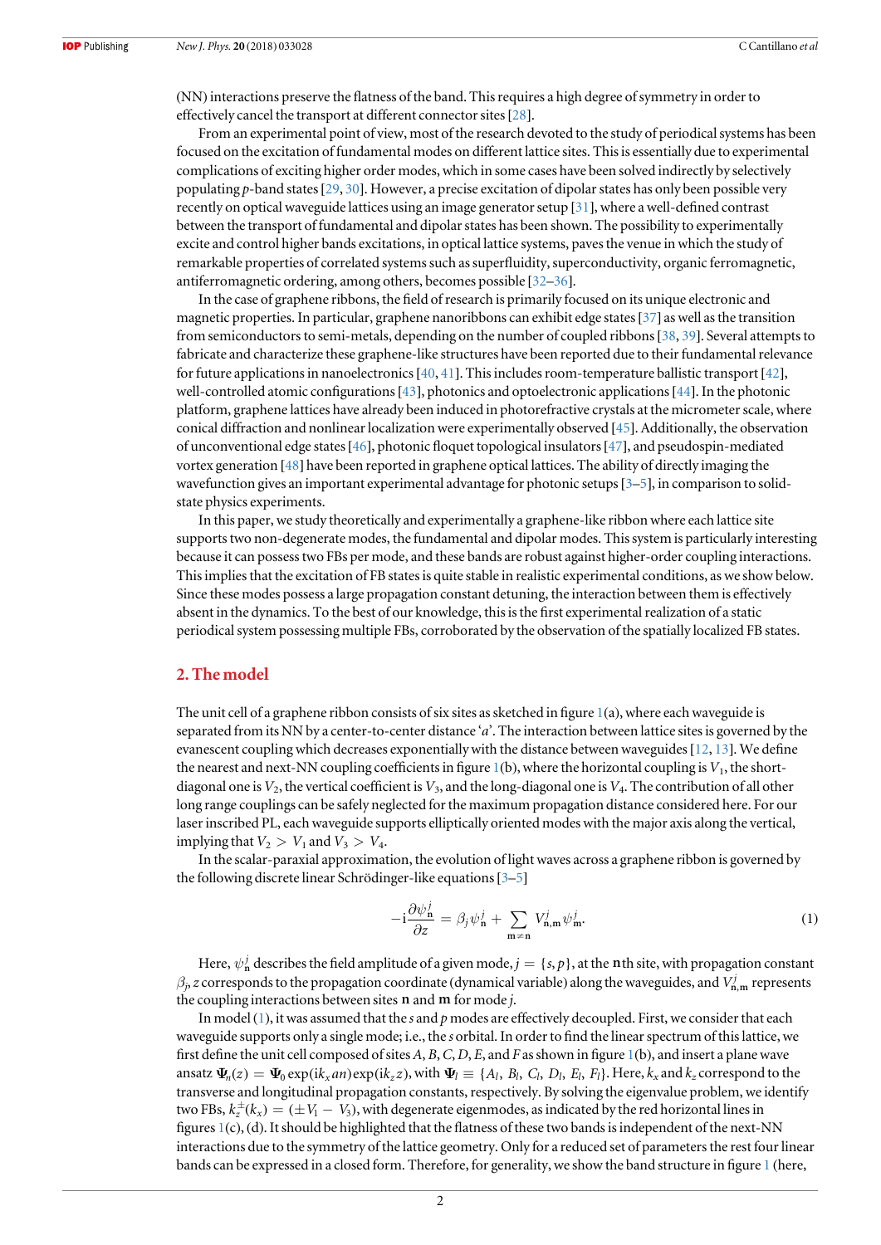<span id="page-2-0"></span>(NN) interactions preserve the flatness of the band. This requires a high degree of symmetry in order to effectively cancel the transport at different connector sites[[28](#page-6-0)].

From an experimental point of view, most of the research devoted to the study of periodical systems has been focused on the excitation of fundamental modes on different lattice sites. This is essentially due to experimental complications of exciting higher order modes, which in some cases have been solved indirectly by selectively populating p-band states [[29](#page-6-0), [30](#page-6-0)]. However, a precise excitation of dipolar states has only been possible very recently on optical waveguide lattices using an image generator setup [[31](#page-7-0)], where a well-defined contrast between the transport of fundamental and dipolar states has been shown. The possibility to experimentally excite and control higher bands excitations, in optical lattice systems, paves the venue in which the study of remarkable properties of correlated systems such as superfluidity, superconductivity, organic ferromagnetic, antiferromagnetic ordering, among others, becomes possible [[32](#page-7-0)–[36](#page-7-0)].

In the case of graphene ribbons, the field of research is primarily focused on its unique electronic and magnetic properties. In particular, graphene nanoribbons can exhibit edge states[[37](#page-7-0)] as well as the transition from semiconductors to semi-metals, depending on the number of coupled ribbons[[38,](#page-7-0) [39](#page-7-0)]. Several attempts to fabricate and characterize these graphene-like structures have been reported due to their fundamental relevance for future applications in nanoelectronics [[40](#page-7-0), [41](#page-7-0)]. This includes room-temperature ballistic transport [[42](#page-7-0)], well-controlled atomic configurations[[43](#page-7-0)], photonics and optoelectronic applications[[44](#page-7-0)]. In the photonic platform, graphene lattices have already been induced in photorefractive crystals at the micrometer scale, where conical diffraction and nonlinear localization were experimentally observed [[45](#page-7-0)]. Additionally, the observation of unconventional edge states[[46](#page-7-0)], photonic floquet topological insulators[[47](#page-7-0)], and pseudospin-mediated vortex generation [[48](#page-7-0)] have been reported in graphene optical lattices. The ability of directly imaging the wavefunction gives an important experimental advantage for photonic setups[[3](#page-6-0)–[5](#page-6-0)], in comparison to solidstate physics experiments.

In this paper, we study theoretically and experimentally a graphene-like ribbon where each lattice site supports two non-degenerate modes, the fundamental and dipolar modes. This system is particularly interesting because it can possess two FBs per mode, and these bands are robust against higher-order coupling interactions. This implies that the excitation of FB states is quite stable in realistic experimental conditions, as we show below. Since these modes possess a large propagation constant detuning, the interaction between them is effectively absent in the dynamics. To the best of our knowledge, this is the first experimental realization of a static periodical system possessing multiple FBs, corroborated by the observation of the spatially localized FB states.

#### 2. The model

The unit cell of a graphene ribbon consists of six sites as sketched in figure [1](#page-3-0)(a), where each waveguide is separated from its NN by a center-to-center distance 'a'. The interaction between lattice sites is governed by the evanescent coupling which decreases exponentially with the distance between waveguides[[12](#page-6-0), [13](#page-6-0)]. We define the nearest and next-NN coupling coefficients in figure  $1(b)$  $1(b)$ , where the horizontal coupling is  $V_1$ , the shortdiagonal one is  $V_2$ , the vertical coefficient is  $V_3$ , and the long-diagonal one is  $V_4$ . The contribution of all other long range couplings can be safely neglected for the maximum propagation distance considered here. For our laser inscribed PL, each waveguide supports elliptically oriented modes with the major axis along the vertical, implying that  $V_2 > V_1$  and  $V_3 > V_4$ .

In the scalar-paraxial approximation, the evolution of light waves across a graphene ribbon is governed by the following discrete linear Schrödinger-like equations[[3](#page-6-0)–[5](#page-6-0)]

$$
-i\frac{\partial\psi_n^j}{\partial z} = \beta_j \psi_n^j + \sum_{m \neq n} V_{n,m}^j \psi_m^j.
$$
 (1)

Here,  $\psi^j_\mathbf{n}$  describes the field amplitude of a given mode,  $j=\{s,p\}$ , at the  $\mathbf{n}$  th site, with propagation constant  $\beta_j$ , z corresponds to the propagation coordinate (dynamical variable) along the waveguides, and  $V^j_{\bf n,m}$  represents the coupling interactions between sites **n** and **m** for mode j.

In model  $(1)$ , it was assumed that the s and p modes are effectively decoupled. First, we consider that each waveguide supports only a single mode; i.e., the s orbital. In order to find the linear spectrum of this lattice, we first define the unit cell composed of sites A, B, C, D, E, and F as shown in figure [1](#page-3-0)(b), and insert a plane wave ansatz  $\Psi_n(z) = \Psi_0 \exp(ik_x a_n) \exp(ik_z z)$ , with  $\Psi_l \equiv \{A_l, B_l, C_l, D_l, E_l, F_l\}$ . Here,  $k_x$  and  $k_z$  correspond to the transverse and longitudinal propagation constants, respectively. By solving the eigenvalue problem, we identify two FBs,  $k_z^{\pm}(k_x) = (\pm V_1 - V_3)$ , with degenerate eigenmodes, as indicated by the red horizontal lines in figures [1](#page-3-0)(c), (d). It should be highlighted that the flatness of these two bands is independent of the next-NN interactions due to the symmetry of the lattice geometry. Only for a reduced set of parameters the rest four linear bands can be expressed in a closed form. Therefore, for generality, we show the band structure in figure [1](#page-3-0) (here,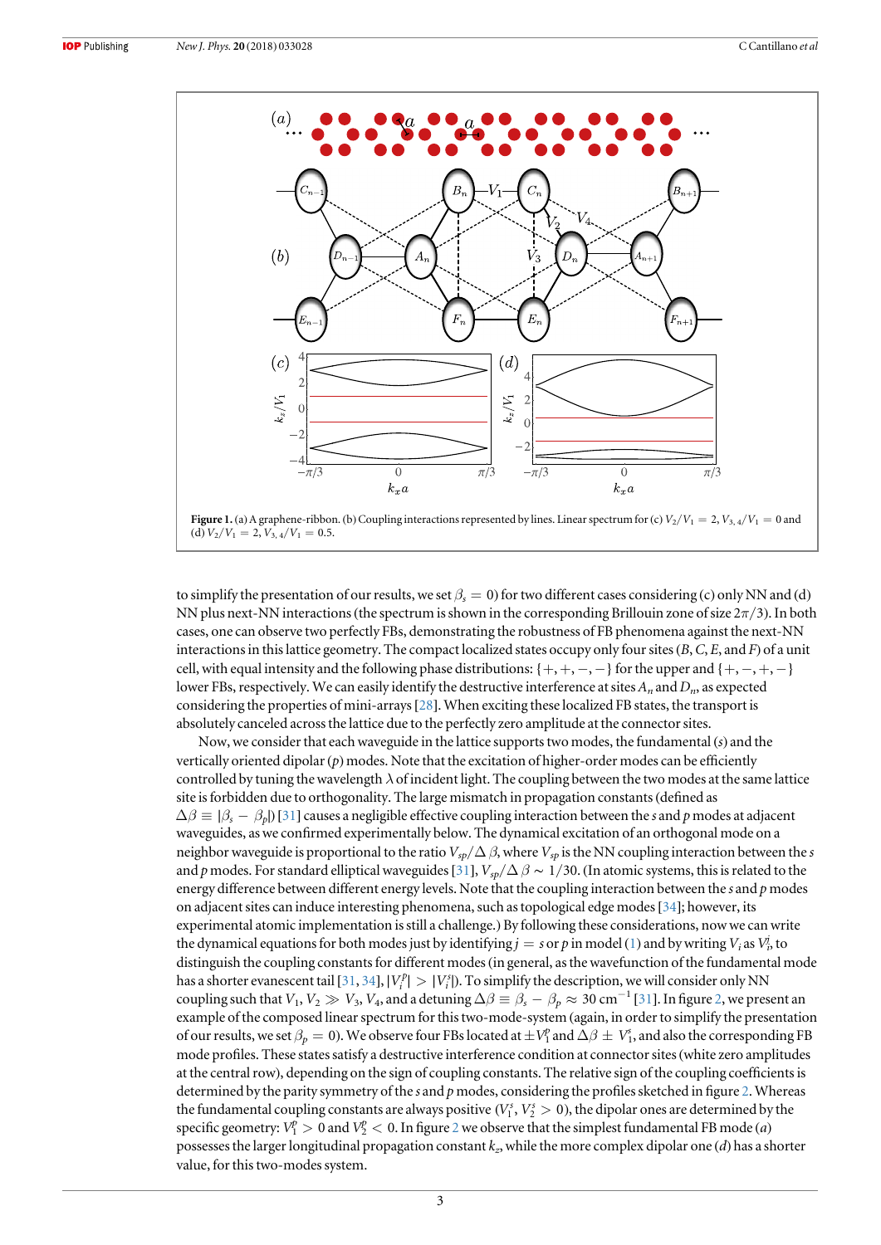<span id="page-3-0"></span>

to simplify the presentation of our results, we set  $\beta_s = 0$  for two different cases considering (c) only NN and (d) NN plus next-NN interactions (the spectrum is shown in the corresponding Brillouin zone of size  $2\pi/3$ ). In both cases, one can observe two perfectly FBs, demonstrating the robustness of FB phenomena against the next-NN interactions in this lattice geometry. The compact localized states occupy only four sites  $(B, C, E,$  and F) of a unit cell, with equal intensity and the following phase distributions: {+, +, −, −} for the upper and {+, −, +, −} lower FBs, respectively. We can easily identify the destructive interference at sites  $A_n$  and  $D_n$ , as expected considering the properties of mini-arrays[[28](#page-6-0)]. When exciting these localized FB states, the transport is absolutely canceled across the lattice due to the perfectly zero amplitude at the connector sites.

Now, we consider that each waveguide in the lattice supports two modes, the fundamental  $(s)$  and the vertically oriented dipolar $(p)$  modes. Note that the excitation of higher-order modes can be efficiently controlled by tuning the wavelength  $\lambda$  of incident light. The coupling between the two modes at the same lattice site is forbidden due to orthogonality. The large mismatch in propagation constants(defined as  $\Delta\beta \equiv |\beta_s - \beta_p|$  [[31](#page-7-0)] causes a negligible effective coupling interaction between the s and p modes at adjacent waveguides, as we confirmed experimentally below. The dynamical excitation of an orthogonal mode on a neighbor waveguide is proportional to the ratio  $V_{sp}/\Delta\beta$ , where  $V_{sp}$  is the NN coupling interaction between the s and p modes. For standard elliptical waveguides [[31](#page-7-0)],  $V_{sp}/\Delta \beta \sim 1/30$ . (In atomic systems, this is related to the energy difference between different energy levels. Note that the coupling interaction between the  $s$  and  $p$  modes on adjacent sites can induce interesting phenomena, such as topological edge modes[[34](#page-7-0)]; however, its experimental atomic implementation is still a challenge.) By following these considerations, now we can write the dynamical equations for both modes just by identifying  $j=s$  or  $p$  in model ([1](#page-2-0)) and by writing  $V_i$  as  $V^j_p$  to distinguish the coupling constants for different modes(in general, as the wavefunction of the fundamental mode has a shorter evanescent tail [[31,](#page-7-0) [34](#page-7-0)],  $|V_i^p| > |V_i^s|$ ). To simplify the description, we will consider only NN coupling such that  $V_1, V_2 \gg V_3, V_4$ , and a detuning  $\Delta \beta \equiv \beta_s - \beta_p \approx 30 \text{ cm}^{-1}$  [[31](#page-7-0)]. In figure [2,](#page-4-0) we present an example of the composed linear spectrum for this two-mode-system (again, in order to simplify the presentation of our results, we set  $\beta_p=0$ ). We observe four FBs located at  $\pm V_1^p$  and  $\Delta\beta\pm V_1^s$ , and also the corresponding FB mode profiles. These states satisfy a destructive interference condition at connector sites(white zero amplitudes at the central row), depending on the sign of coupling constants. The relative sign of the coupling coefficients is determined by the parity symmetry of the s and p modes, considering the profiles sketched in figure [2](#page-4-0). Whereas the fundamental coupling constants are always positive  $(V_1^s, V_2^s > 0)$ , the dipolar ones are determined by the specific geometry:  $V_1^p > 0$  and  $V_2^p < 0$  $V_2^p < 0$  $V_2^p < 0$ . In figure 2 we observe that the simplest fundamental FB mode (*a*) possesses the larger longitudinal propagation constant  $k_z$ , while the more complex dipolar one (d) has a shorter value, for this two-modes system.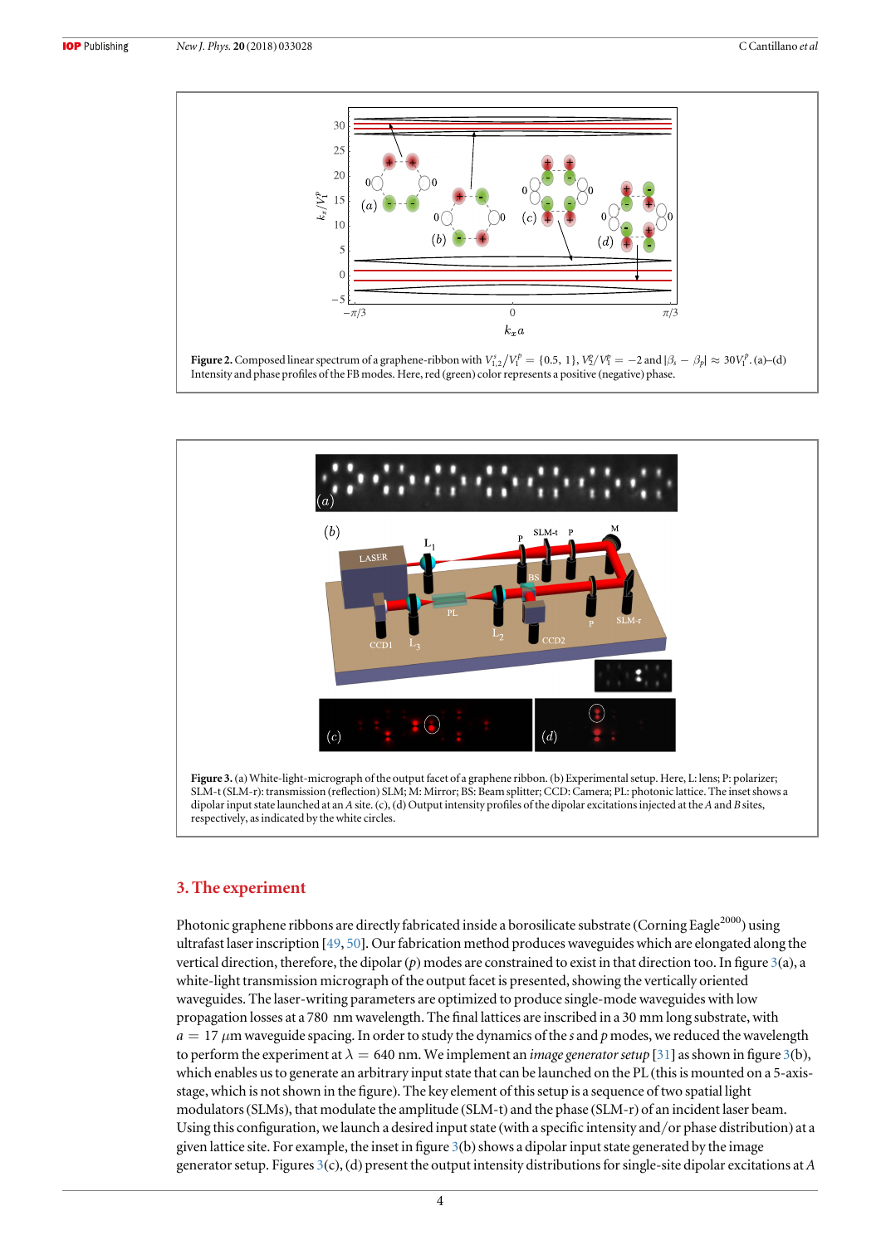<span id="page-4-0"></span>



#### 3. The experiment

Photonic graphene ribbons are directly fabricated inside a borosilicate substrate (Corning Eagle<sup>2000</sup>) using ultrafast laser inscription [[49](#page-7-0), [50](#page-7-0)]. Our fabrication method produces waveguides which are elongated along the vertical direction, therefore, the dipolar  $(p)$  modes are constrained to exist in that direction too. In figure  $3(a)$ , a white-light transmission micrograph of the output facet is presented, showing the vertically oriented waveguides. The laser-writing parameters are optimized to produce single-mode waveguides with low propagation losses at a 780 nm wavelength. The final lattices are inscribed in a 30 mm long substrate, with  $a = 17 \mu m$  waveguide spacing. In order to study the dynamics of the s and p modes, we reduced the wavelength to perform the experiment at  $\lambda = 640$  nm. We implement an *image generator setup* [[31](#page-7-0)] as shown in figure 3(b), which enables us to generate an arbitrary input state that can be launched on the PL (this is mounted on a 5-axisstage, which is not shown in the figure). The key element of this setup is a sequence of two spatial light modulators(SLMs), that modulate the amplitude (SLM-t) and the phase (SLM-r) of an incident laser beam. Using this configuration, we launch a desired input state (with a specific intensity and/or phase distribution) at a given lattice site. For example, the inset in figure  $3(b)$  shows a dipolar input state generated by the image generator setup. Figures  $3(c)$ , (d) present the output intensity distributions for single-site dipolar excitations at A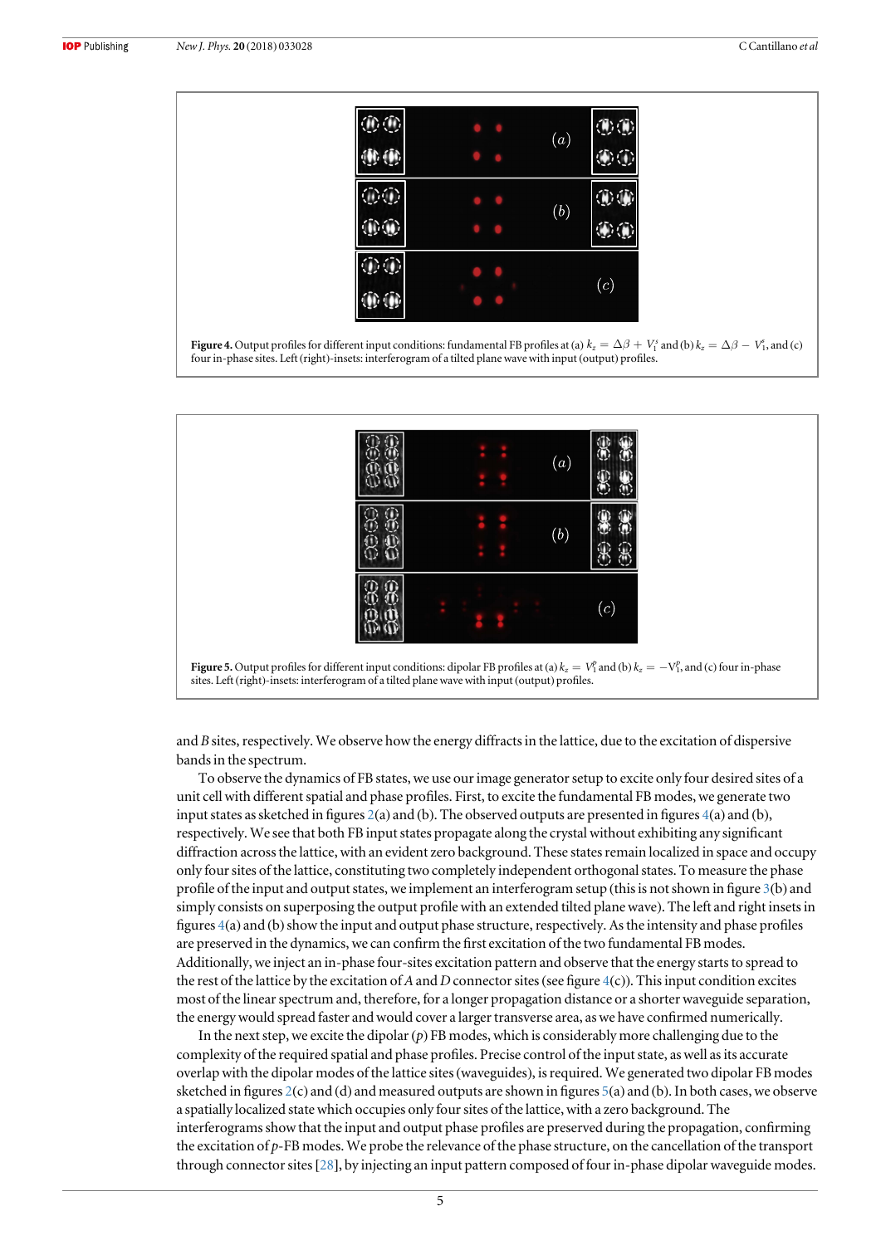<span id="page-5-0"></span>







and B sites, respectively. We observe how the energy diffracts in the lattice, due to the excitation of dispersive bands in the spectrum.

To observe the dynamics of FB states, we use our image generator setup to excite only four desired sites of a unit cell with different spatial and phase profiles. First, to excite the fundamental FB modes, we generate two input states as sketched in figures [2](#page-4-0)(a) and (b). The observed outputs are presented in figures 4(a) and (b), respectively. We see that both FB input states propagate along the crystal without exhibiting any significant diffraction across the lattice, with an evident zero background. These states remain localized in space and occupy only four sites of the lattice, constituting two completely independent orthogonal states. To measure the phase profile of the input and output states, we implement an interferogram setup (this is not shown in figure [3](#page-4-0)(b) and simply consists on superposing the output profile with an extended tilted plane wave). The left and right insets in figures  $4(a)$  and (b) show the input and output phase structure, respectively. As the intensity and phase profiles are preserved in the dynamics, we can confirm the first excitation of the two fundamental FB modes. Additionally, we inject an in-phase four-sites excitation pattern and observe that the energy starts to spread to the rest of the lattice by the excitation of A and D connector sites (see figure  $4(c)$ ). This input condition excites most of the linear spectrum and, therefore, for a longer propagation distance or a shorter waveguide separation, the energy would spread faster and would cover a larger transverse area, as we have confirmed numerically.

In the next step, we excite the dipolar  $(p)$  FB modes, which is considerably more challenging due to the complexity of the required spatial and phase profiles. Precise control of the input state, as well as its accurate overlap with the dipolar modes of the lattice sites(waveguides), is required. We generated two dipolar FB modes sketched in figures [2](#page-4-0)(c) and (d) and measured outputs are shown in figures 5(a) and (b). In both cases, we observe a spatially localized state which occupies only four sites of the lattice, with a zero background. The interferograms show that the input and output phase profiles are preserved during the propagation, confirming the excitation of  $p$ -FB modes. We probe the relevance of the phase structure, on the cancellation of the transport through connector sites[[28](#page-6-0)], by injecting an input pattern composed of four in-phase dipolar waveguide modes.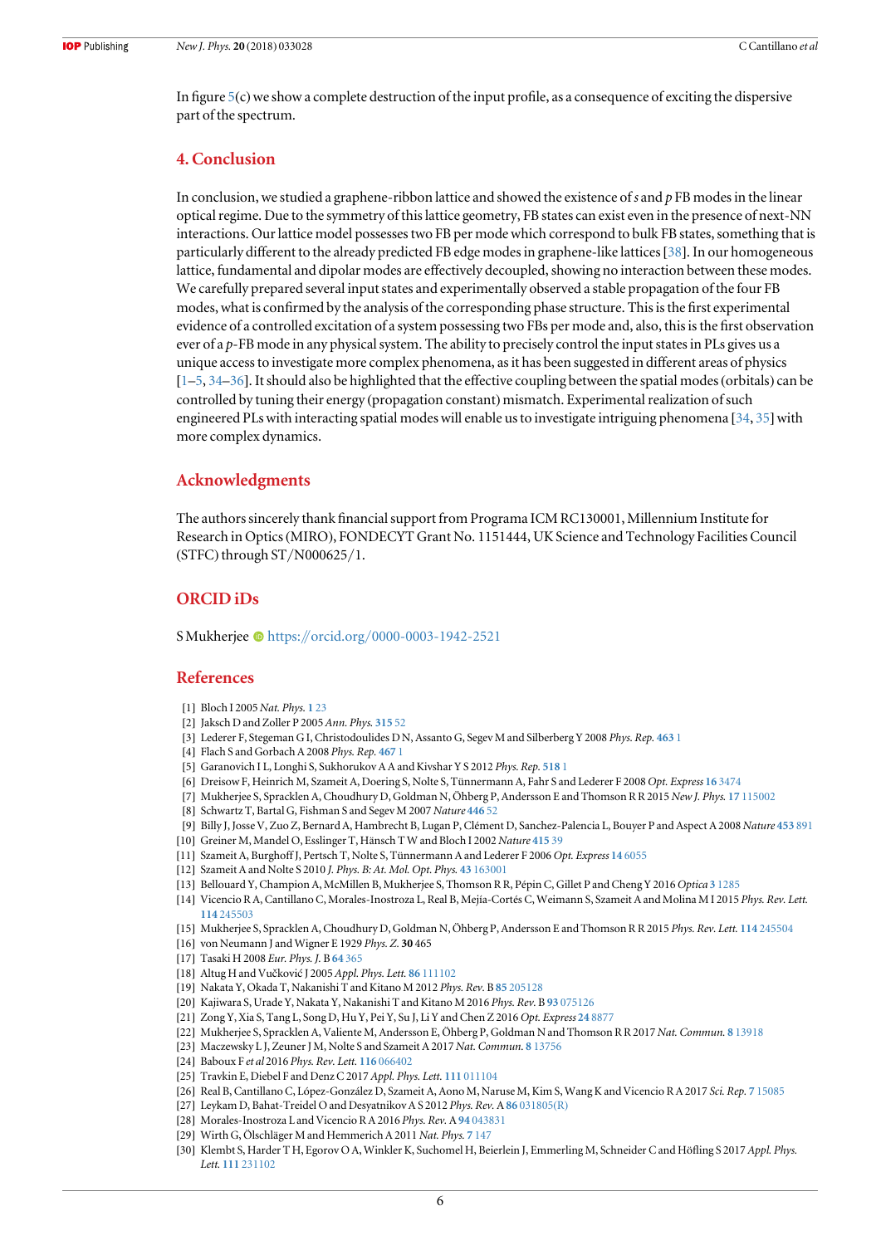<span id="page-6-0"></span>In figure  $5(c)$  $5(c)$  we show a complete destruction of the input profile, as a consequence of exciting the dispersive part of the spectrum.

## 4. Conclusion

In conclusion, we studied a graphene-ribbon lattice and showed the existence of s and  $p$  FB modes in the linear optical regime. Due to the symmetry of this lattice geometry, FB states can exist even in the presence of next-NN interactions. Our lattice model possesses two FB per mode which correspond to bulk FB states, something that is particularly different to the already predicted FB edge modes in graphene-like lattices[[38](#page-7-0)]. In our homogeneous lattice, fundamental and dipolar modes are effectively decoupled, showing no interaction between these modes. We carefully prepared several input states and experimentally observed a stable propagation of the four FB modes, what is confirmed by the analysis of the corresponding phase structure. This is the first experimental evidence of a controlled excitation of a system possessing two FBs per mode and, also, this is the first observation ever of a p-FB mode in any physical system. The ability to precisely control the input states in PLs gives us a unique access to investigate more complex phenomena, as it has been suggested in different areas of physics [1–5, [34](#page-7-0)–[36](#page-7-0)]. It should also be highlighted that the effective coupling between the spatial modes(orbitals) can be controlled by tuning their energy (propagation constant) mismatch. Experimental realization of such engineered PLs with interacting spatial modes will enable us to investigate intriguing phenomena  $[34, 35]$  $[34, 35]$  $[34, 35]$  $[34, 35]$  $[34, 35]$  with more complex dynamics.

### Acknowledgments

The authors sincerely thank financial support from Programa ICM RC130001, Millennium Institute for Research in Optics(MIRO), FONDECYT Grant No. 1151444, UK Science and Technology Facilities Council (STFC) through ST/N000625/1.

### ORCID iDs

S Mukherje[e](https://orcid.org/0000-0003-1942-2521) [https:](https://orcid.org/0000-0003-1942-2521)//orcid.org/[0000-0003-1942-2521](https://orcid.org/0000-0003-1942-2521)

#### References

- [1] Bloch I 2005 Nat. Phys. 1 [23](https://doi.org/10.1038/nphys138)
- [2] Jaksch D and Zoller P 2005 Ann. Phys. [315](https://doi.org/10.1016/j.aop.2004.09.010) 52
- [3] Lederer F, Stegeman G I, Christodoulides D N, Assanto G, Segev M and Silberberg Y 2008 Phys. Rep. [463](https://doi.org/10.1016/j.physrep.2008.04.004) 1
- [4] Flach S and Gorbach A 2008 Phys. Rep. [467](https://doi.org/10.1016/j.physrep.2008.05.002) 1
- [5] Garanovich I L, Longhi S, Sukhorukov A A and Kivshar Y S 2012 Phys. Rep. [518](https://doi.org/10.1016/j.physrep.2012.03.005) 1
- [6] Dreisow F, Heinrich M, Szameit A, Doering S, Nolte S, Tünnermann A, Fahr S and Lederer F 2008 Opt. Express 16 [3474](https://doi.org/10.1364/OE.16.003474)
- [7] Mukherjee S, Spracklen A, Choudhury D, Goldman N, Öhberg P, Andersson E and Thomson R R 2015 New J. Phys. 17 [115002](https://doi.org/10.1088/1367-2630/17/11/115002)
- [8] Schwartz T, Bartal G, Fishman S and Segev M 2007 Nature [446](https://doi.org/10.1038/nature05623) 52
- [9] Billy J, Josse V, Zuo Z, Bernard A, Hambrecht B, Lugan P, Clément D, Sanchez-Palencia L, Bouyer P and Aspect A 2008 Nature [453](https://doi.org/10.1038/nature07000) 891
- [10] Greiner M, Mandel O, Esslinger T, Hänsch T W and Bloch I 2002 Nature [415](https://doi.org/10.1038/415039a) 39
- [11] Szameit A, Burghoff J, Pertsch T, Nolte S, Tünnermann A and Lederer F 2006 Opt. Express 14 [6055](https://doi.org/10.1364/OE.14.006055)
- [12] Szameit A and Nolte S 2010 J. Phys. B: At. Mol. Opt. Phys. 43 [163001](https://doi.org/10.1088/0953-4075/43/16/163001)
- [13] Bellouard Y, Champion A, McMillen B, Mukherjee S, Thomson R R, Pépin C, Gillet P and Cheng Y 2016 Optica 3 [1285](https://doi.org/10.1364/OPTICA.3.001285)
- [14] Vicencio R A, Cantillano C, Morales-Inostroza L, Real B, Mejía-Cortés C, Weimann S, Szameit A and Molina M I 2015 Phys. Rev. Lett. 114 [245503](https://doi.org/10.1103/PhysRevLett.114.245503)
- [15] Mukherjee S, Spracklen A, Choudhury D, Goldman N, Öhberg P, Andersson E and Thomson R R 2015 Phys. Rev. Lett. 114 [245504](https://doi.org/10.1103/PhysRevLett.114.245504)
- [16] von Neumann J and Wigner E 1929 Phys. Z. 30 465
- [17] Tasaki H 2008 Eur. Phys. J. B 64 [365](https://doi.org/10.1140/epjb/e2008-00113-2)
- [18] Altug H and Vučković J 2005 Appl. Phys. Lett. 86 [111102](https://doi.org/10.1063/1.1882755)
- [19] Nakata Y, Okada T, Nakanishi T and Kitano M 2012 Phys. Rev. B 85 [205128](https://doi.org/10.1103/PhysRevB.85.205128)
- [20] Kajiwara S, Urade Y, Nakata Y, Nakanishi T and Kitano M 2016 Phys. Rev. B 93 [075126](https://doi.org/10.1103/PhysRevB.93.075126)
- [21] Zong Y, Xia S, Tang L, Song D, Hu Y, Pei Y, Su J, Li Y and Chen Z 2016 Opt. Express 24 [8877](https://doi.org/10.1364/OE.24.008877)
- [22] Mukherjee S, Spracklen A, Valiente M, Andersson E, Öhberg P, Goldman N and Thomson R R 2017 Nat. Commun. 8 [13918](https://doi.org/10.1038/ncomms13918)
- [23] Maczewsky L J, Zeuner J M, Nolte S and Szameit A 2017 Nat. Commun. 8 [13756](https://doi.org/10.1038/ncomms13756)
- [24] Baboux F et al 2016 Phys. Rev. Lett. 116 [066402](https://doi.org/10.1103/PhysRevLett.116.066402)
- [25] Travkin E, Diebel F and Denz C 2017 Appl. Phys. Lett. 111 [011104](https://doi.org/10.1063/1.4990998)
- [26] Real B, Cantillano C, López-González D, Szameit A, Aono M, Naruse M, Kim S, Wang K and Vicencio R A 2017 Sci. Rep. 7 [15085](https://doi.org/10.1038/s41598-017-15441-2)
- [27] Leykam D, Bahat-Treidel O and Desyatnikov A S 2012 Phys. Rev. A 86 [031805](https://doi.org/10.1103/PhysRevA.86.031805)(R)
- [28] Morales-Inostroza L and Vicencio R A 2016 Phys. Rev. A 94 [043831](https://doi.org/10.1103/PhysRevA.94.043831)
- [29] Wirth G, Ölschläger M and Hemmerich A 2011 Nat. Phys. 7 [147](https://doi.org/10.1038/nphys1857)
- [30] Klembt S, Harder T H, Egorov O A, Winkler K, Suchomel H, Beierlein J, Emmerling M, Schneider C and Höfling S 2017 Appl. Phys. Lett. 111 [231102](https://doi.org/10.1063/1.4995385)